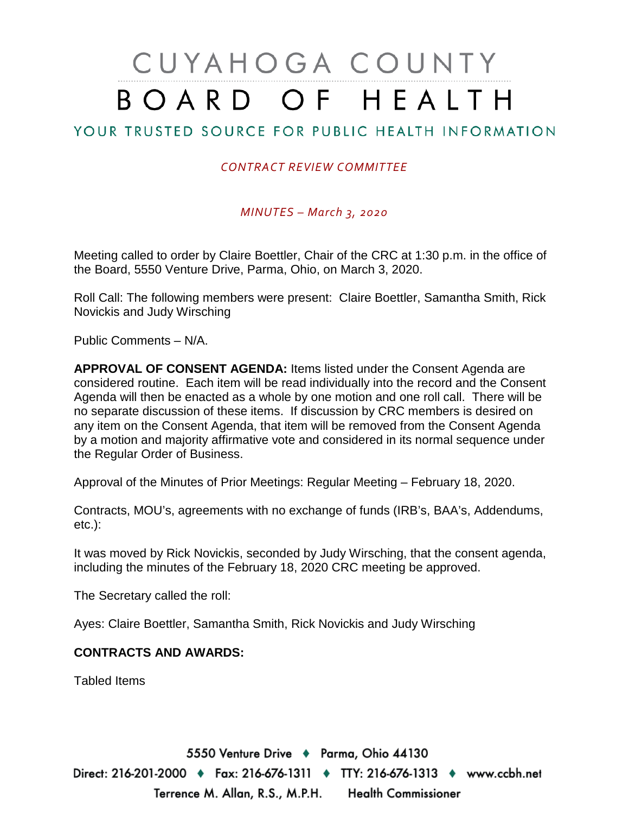# CUYAHOGA COUNTY BOARD OF HEALTH

## YOUR TRUSTED SOURCE FOR PUBLIC HEALTH INFORMATION

### *CONTRACT REVIEW COMMITTEE*

#### *MINUTES – March 3, 2020*

Meeting called to order by Claire Boettler, Chair of the CRC at 1:30 p.m. in the office of the Board, 5550 Venture Drive, Parma, Ohio, on March 3, 2020.

Roll Call: The following members were present: Claire Boettler, Samantha Smith, Rick Novickis and Judy Wirsching

Public Comments – N/A.

**APPROVAL OF CONSENT AGENDA:** Items listed under the Consent Agenda are considered routine. Each item will be read individually into the record and the Consent Agenda will then be enacted as a whole by one motion and one roll call. There will be no separate discussion of these items. If discussion by CRC members is desired on any item on the Consent Agenda, that item will be removed from the Consent Agenda by a motion and majority affirmative vote and considered in its normal sequence under the Regular Order of Business.

Approval of the Minutes of Prior Meetings: Regular Meeting – February 18, 2020.

Contracts, MOU's, agreements with no exchange of funds (IRB's, BAA's, Addendums, etc.):

It was moved by Rick Novickis, seconded by Judy Wirsching, that the consent agenda, including the minutes of the February 18, 2020 CRC meeting be approved.

The Secretary called the roll:

Ayes: Claire Boettler, Samantha Smith, Rick Novickis and Judy Wirsching

#### **CONTRACTS AND AWARDS:**

Tabled Items

5550 Venture Drive + Parma, Ohio 44130 Direct: 216-201-2000 ♦ Fax: 216-676-1311 ♦ TTY: 216-676-1313 ♦ www.ccbh.net Terrence M. Allan, R.S., M.P.H. Health Commissioner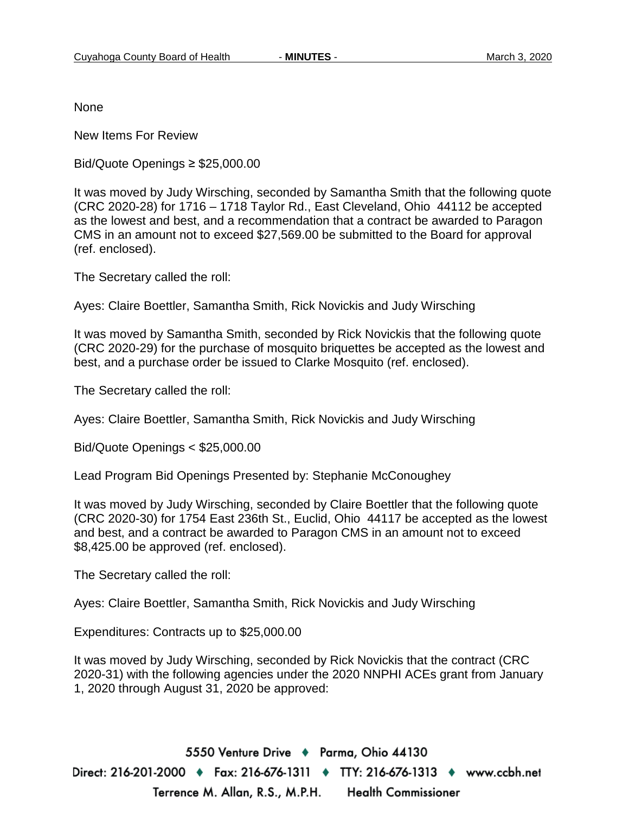None

New Items For Review

Bid/Quote Openings ≥ \$25,000.00

It was moved by Judy Wirsching, seconded by Samantha Smith that the following quote (CRC 2020-28) for 1716 – 1718 Taylor Rd., East Cleveland, Ohio 44112 be accepted as the lowest and best, and a recommendation that a contract be awarded to Paragon CMS in an amount not to exceed \$27,569.00 be submitted to the Board for approval (ref. enclosed).

The Secretary called the roll:

Ayes: Claire Boettler, Samantha Smith, Rick Novickis and Judy Wirsching

It was moved by Samantha Smith, seconded by Rick Novickis that the following quote (CRC 2020-29) for the purchase of mosquito briquettes be accepted as the lowest and best, and a purchase order be issued to Clarke Mosquito (ref. enclosed).

The Secretary called the roll:

Ayes: Claire Boettler, Samantha Smith, Rick Novickis and Judy Wirsching

Bid/Quote Openings < \$25,000.00

Lead Program Bid Openings Presented by: Stephanie McConoughey

It was moved by Judy Wirsching, seconded by Claire Boettler that the following quote (CRC 2020-30) for 1754 East 236th St., Euclid, Ohio 44117 be accepted as the lowest and best, and a contract be awarded to Paragon CMS in an amount not to exceed \$8,425.00 be approved (ref. enclosed).

The Secretary called the roll:

Ayes: Claire Boettler, Samantha Smith, Rick Novickis and Judy Wirsching

Expenditures: Contracts up to \$25,000.00

It was moved by Judy Wirsching, seconded by Rick Novickis that the contract (CRC 2020-31) with the following agencies under the 2020 NNPHI ACEs grant from January 1, 2020 through August 31, 2020 be approved:

5550 Venture Drive + Parma, Ohio 44130 Direct: 216-201-2000 ♦ Fax: 216-676-1311 ♦ TTY: 216-676-1313 ♦ www.ccbh.net Terrence M. Allan, R.S., M.P.H. **Health Commissioner**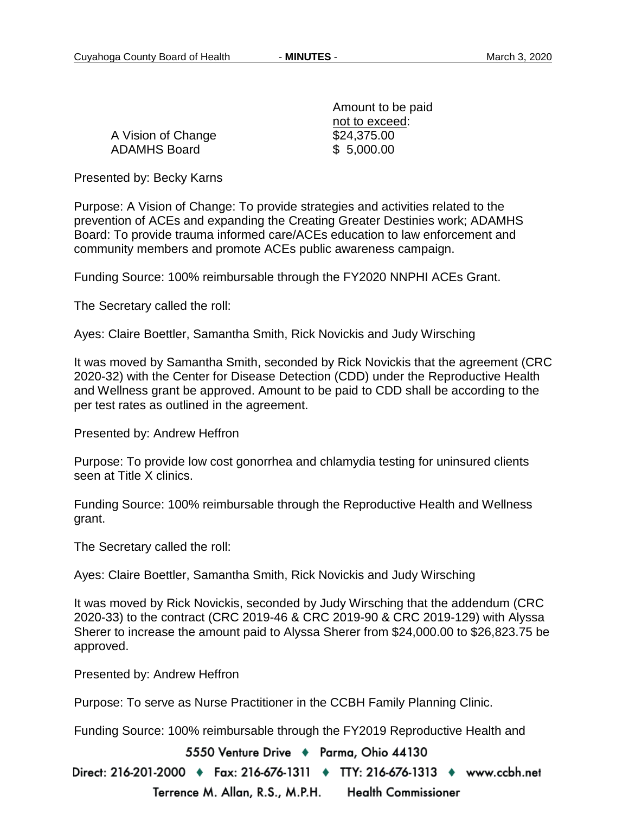A Vision of Change \$24,375.00 ADAMHS Board \$ 5,000.00

Amount to be paid not to exceed:

Presented by: Becky Karns

Purpose: A Vision of Change: To provide strategies and activities related to the prevention of ACEs and expanding the Creating Greater Destinies work; ADAMHS Board: To provide trauma informed care/ACEs education to law enforcement and community members and promote ACEs public awareness campaign.

Funding Source: 100% reimbursable through the FY2020 NNPHI ACEs Grant.

The Secretary called the roll:

Ayes: Claire Boettler, Samantha Smith, Rick Novickis and Judy Wirsching

It was moved by Samantha Smith, seconded by Rick Novickis that the agreement (CRC 2020-32) with the Center for Disease Detection (CDD) under the Reproductive Health and Wellness grant be approved. Amount to be paid to CDD shall be according to the per test rates as outlined in the agreement.

Presented by: Andrew Heffron

Purpose: To provide low cost gonorrhea and chlamydia testing for uninsured clients seen at Title X clinics.

Funding Source: 100% reimbursable through the Reproductive Health and Wellness grant.

The Secretary called the roll:

Ayes: Claire Boettler, Samantha Smith, Rick Novickis and Judy Wirsching

It was moved by Rick Novickis, seconded by Judy Wirsching that the addendum (CRC 2020-33) to the contract (CRC 2019-46 & CRC 2019-90 & CRC 2019-129) with Alyssa Sherer to increase the amount paid to Alyssa Sherer from \$24,000.00 to \$26,823.75 be approved.

Presented by: Andrew Heffron

Purpose: To serve as Nurse Practitioner in the CCBH Family Planning Clinic.

Funding Source: 100% reimbursable through the FY2019 Reproductive Health and

5550 Venture Drive + Parma, Ohio 44130

Direct: 216-201-2000 ♦ Fax: 216-676-1311 ♦ TTY: 216-676-1313 ♦ www.ccbh.net Terrence M. Allan, R.S., M.P.H. **Health Commissioner**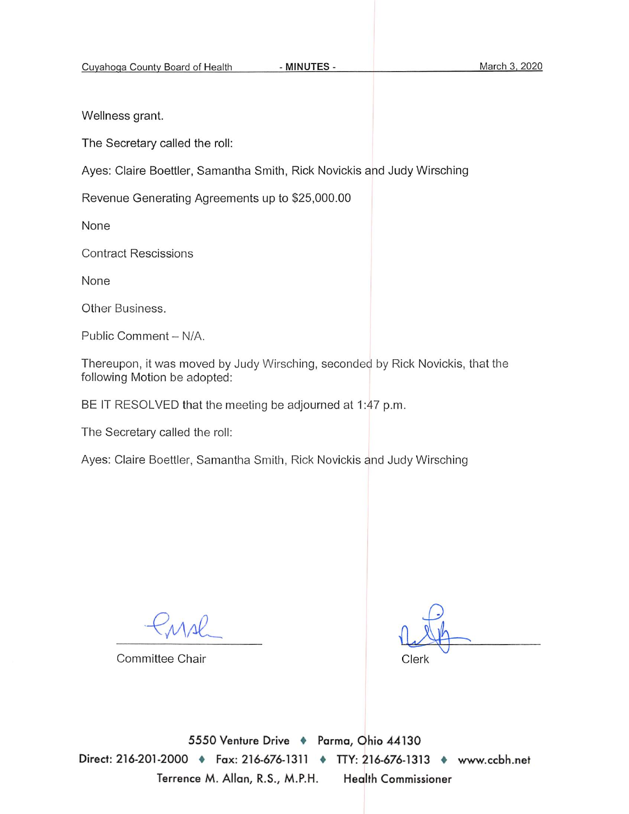- MINUTES -

Wellness grant.

The Secretary called the roll:

Ayes: Claire Boettler, Samantha Smith, Rick Novickis and Judy Wirsching

Revenue Generating Agreements up to \$25,000.00

None

**Contract Rescissions** 

None

Other Business.

Public Comment - N/A.

Thereupon, it was moved by Judy Wirsching, seconded by Rick Novickis, that the following Motion be adopted:

BE IT RESOLVED that the meeting be adjourned at 1:47 p.m.

The Secretary called the roll:

Ayes: Claire Boettler, Samantha Smith, Rick Novickis and Judy Wirsching

Committee Chair

Clerk

5550 Venture Drive + Parma, Ohio 44130 Direct: 216-201-2000 • Fax: 216-676-1311 • TTY: 216-676-1313 • www.ccbh.net Terrence M. Allan, R.S., M.P.H. **Health Commissioner**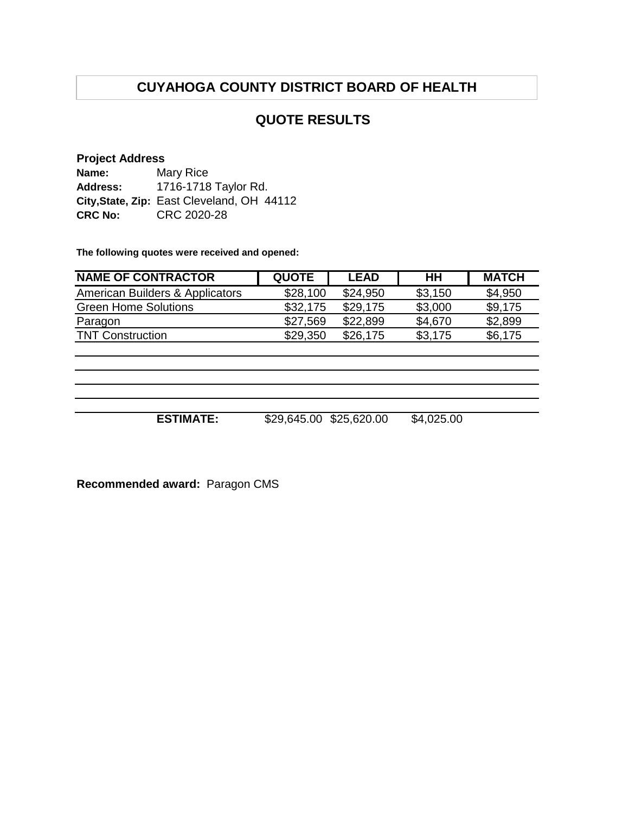## **CUYAHOGA COUNTY DISTRICT BOARD OF HEALTH**

## **QUOTE RESULTS**

#### **Project Address**

| Name:          | Mary Rice                                  |
|----------------|--------------------------------------------|
| Address:       | 1716-1718 Taylor Rd.                       |
|                | City, State, Zip: East Cleveland, OH 44112 |
| <b>CRC No:</b> | CRC 2020-28                                |

**The following quotes were received and opened:**

| <b>NAME OF CONTRACTOR</b>       | <b>QUOTE</b> | <b>LEAD</b> | HН      | <b>MATCH</b> |
|---------------------------------|--------------|-------------|---------|--------------|
| American Builders & Applicators | \$28,100     | \$24.950    | \$3,150 | \$4,950      |
| <b>Green Home Solutions</b>     | \$32,175     | \$29,175    | \$3,000 | \$9,175      |
| Paragon                         | \$27,569     | \$22,899    | \$4,670 | \$2,899      |
| <b>TNT Construction</b>         | \$29,350     | \$26,175    | \$3,175 | \$6,175      |

**ESTIMATE:** \$29,645.00 \$25,620.00 \$4,025.00

**Recommended award:** Paragon CMS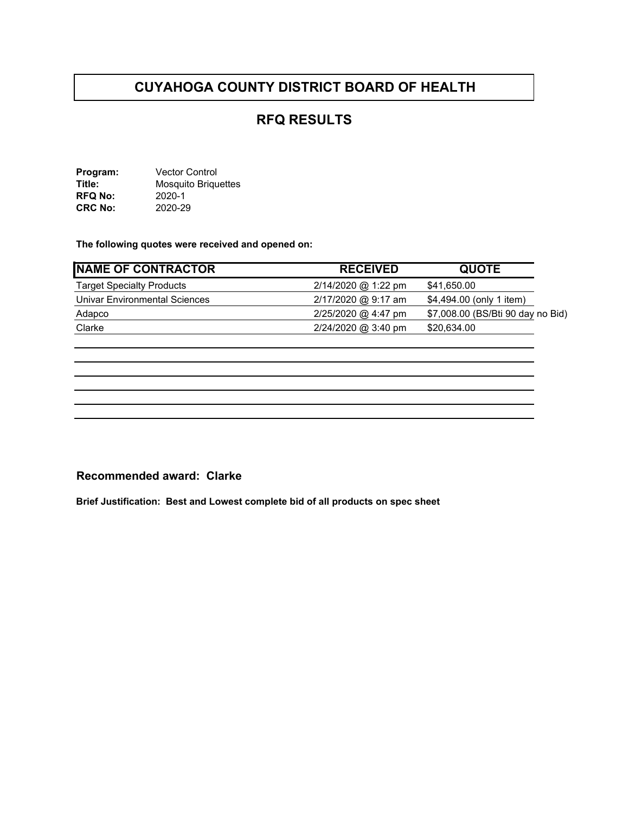## **CUYAHOGA COUNTY DISTRICT BOARD OF HEALTH**

## **RFQ RESULTS**

**Program:** Vector Control **Title:** Mosquito Briquettes **RFQ No:** 2020-1 **CRC No:** 2020-29

**The following quotes were received and opened on:** 

| NAME OF CONTRACTOR               | <b>RECEIVED</b>       | <b>QUOTE</b>                      |
|----------------------------------|-----------------------|-----------------------------------|
| <b>Target Specialty Products</b> | $2/14/2020$ @ 1:22 pm | \$41,650.00                       |
| Univar Environmental Sciences    | $2/17/2020$ @ 9:17 am | \$4,494.00 (only 1 item)          |
| Adapco                           | $2/25/2020$ @ 4:47 pm | \$7,008.00 (BS/Bti 90 day no Bid) |
| Clarke                           | 2/24/2020 @ 3:40 pm   | \$20,634.00                       |

#### **Recommended award: Clarke**

**Brief Justification: Best and Lowest complete bid of all products on spec sheet**